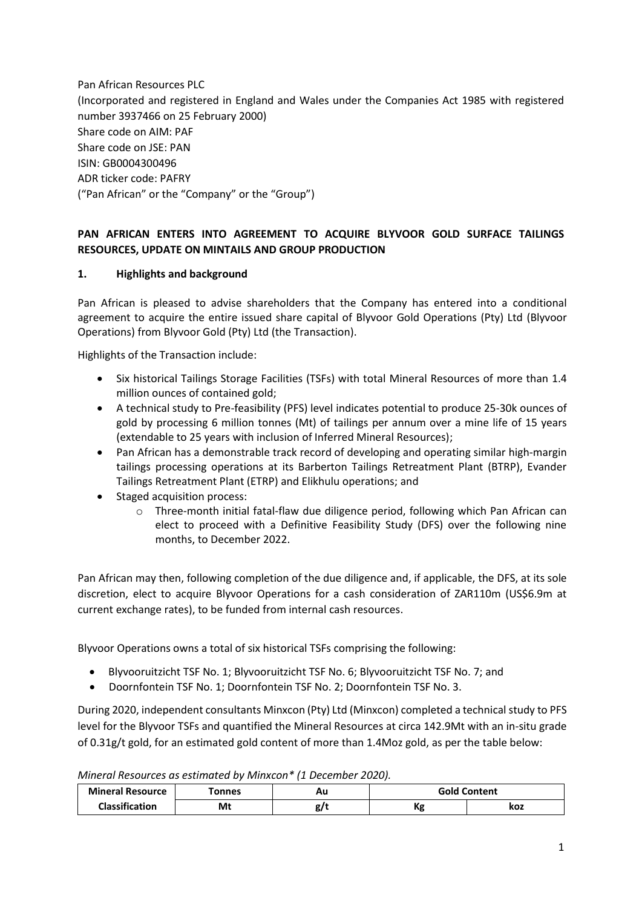Pan African Resources PLC (Incorporated and registered in England and Wales under the Companies Act 1985 with registered number 3937466 on 25 February 2000) Share code on AIM: PAF Share code on JSE: PAN ISIN: GB0004300496 ADR ticker code: PAFRY ("Pan African" or the "Company" or the "Group")

### **PAN AFRICAN ENTERS INTO AGREEMENT TO ACQUIRE BLYVOOR GOLD SURFACE TAILINGS RESOURCES, UPDATE ON MINTAILS AND GROUP PRODUCTION**

#### **1. Highlights and background**

Pan African is pleased to advise shareholders that the Company has entered into a conditional agreement to acquire the entire issued share capital of Blyvoor Gold Operations (Pty) Ltd (Blyvoor Operations) from Blyvoor Gold (Pty) Ltd (the Transaction).

Highlights of the Transaction include:

- Six historical Tailings Storage Facilities (TSFs) with total Mineral Resources of more than 1.4 million ounces of contained gold;
- A technical study to Pre-feasibility (PFS) level indicates potential to produce 25-30k ounces of gold by processing 6 million tonnes (Mt) of tailings per annum over a mine life of 15 years (extendable to 25 years with inclusion of Inferred Mineral Resources);
- Pan African has a demonstrable track record of developing and operating similar high-margin tailings processing operations at its Barberton Tailings Retreatment Plant (BTRP), Evander Tailings Retreatment Plant (ETRP) and Elikhulu operations; and
- Staged acquisition process:
	- $\circ$  Three-month initial fatal-flaw due diligence period, following which Pan African can elect to proceed with a Definitive Feasibility Study (DFS) over the following nine months, to December 2022.

Pan African may then, following completion of the due diligence and, if applicable, the DFS, at its sole discretion, elect to acquire Blyvoor Operations for a cash consideration of ZAR110m (US\$6.9m at current exchange rates), to be funded from internal cash resources.

Blyvoor Operations owns a total of six historical TSFs comprising the following:

- Blyvooruitzicht TSF No. 1; Blyvooruitzicht TSF No. 6; Blyvooruitzicht TSF No. 7; and
- Doornfontein TSF No. 1; Doornfontein TSF No. 2; Doornfontein TSF No. 3.

During 2020, independent consultants Minxcon (Pty) Ltd (Minxcon) completed a technical study to PFS level for the Blyvoor TSFs and quantified the Mineral Resources at circa 142.9Mt with an in-situ grade of 0.31g/t gold, for an estimated gold content of more than 1.4Moz gold, as per the table below:

*Mineral Resources as estimated by Minxcon\* (1 December 2020).*

| <b>Mineral Resource</b> | <b>connes</b> | Αu |           | <b>Gold Content</b> |
|-------------------------|---------------|----|-----------|---------------------|
| <b>Classification</b>   | Mt            | o  | v.<br>η£, | koz                 |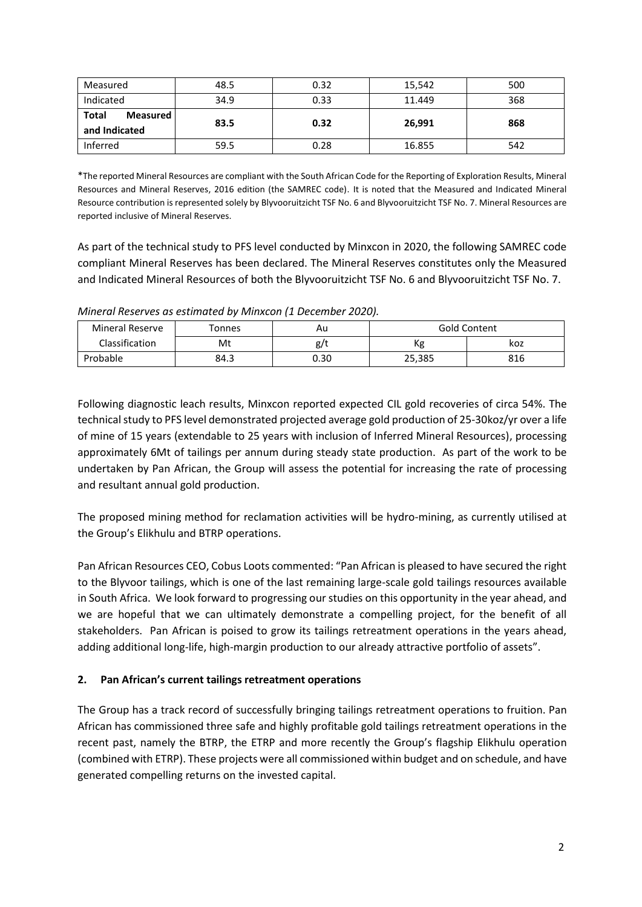| Measured                                  | 48.5 | 0.32 | 15,542 | 500 |
|-------------------------------------------|------|------|--------|-----|
| Indicated                                 | 34.9 | 0.33 | 11.449 | 368 |
| <b>Total</b><br>Measured<br>and Indicated | 83.5 | 0.32 | 26,991 | 868 |
| Inferred                                  | 59.5 | 0.28 | 16.855 | 542 |

\*The reported Mineral Resources are compliant with the South African Code for the Reporting of Exploration Results, Mineral Resources and Mineral Reserves, 2016 edition (the SAMREC code). It is noted that the Measured and Indicated Mineral Resource contribution is represented solely by Blyvooruitzicht TSF No. 6 and Blyvooruitzicht TSF No. 7. Mineral Resources are reported inclusive of Mineral Reserves.

As part of the technical study to PFS level conducted by Minxcon in 2020, the following SAMREC code compliant Mineral Reserves has been declared. The Mineral Reserves constitutes only the Measured and Indicated Mineral Resources of both the Blyvooruitzicht TSF No. 6 and Blyvooruitzicht TSF No. 7.

*Mineral Reserves as estimated by Minxcon (1 December 2020).*

| <b>Mineral Reserve</b> | Tonnes | Au   | Gold Content |     |
|------------------------|--------|------|--------------|-----|
| Classification         | Mt     | g/t  | Кg           | koz |
| Probable               | 84.3   | 0.30 | 25,385       | 816 |

Following diagnostic leach results, Minxcon reported expected CIL gold recoveries of circa 54%. The technical study to PFS level demonstrated projected average gold production of 25-30koz/yr over a life of mine of 15 years (extendable to 25 years with inclusion of Inferred Mineral Resources), processing approximately 6Mt of tailings per annum during steady state production. As part of the work to be undertaken by Pan African, the Group will assess the potential for increasing the rate of processing and resultant annual gold production.

The proposed mining method for reclamation activities will be hydro-mining, as currently utilised at the Group's Elikhulu and BTRP operations.

Pan African Resources CEO, Cobus Loots commented: "Pan African is pleased to have secured the right to the Blyvoor tailings, which is one of the last remaining large-scale gold tailings resources available in South Africa. We look forward to progressing our studies on this opportunity in the year ahead, and we are hopeful that we can ultimately demonstrate a compelling project, for the benefit of all stakeholders. Pan African is poised to grow its tailings retreatment operations in the years ahead, adding additional long-life, high-margin production to our already attractive portfolio of assets".

#### **2. Pan African's current tailings retreatment operations**

The Group has a track record of successfully bringing tailings retreatment operations to fruition. Pan African has commissioned three safe and highly profitable gold tailings retreatment operations in the recent past, namely the BTRP, the ETRP and more recently the Group's flagship Elikhulu operation (combined with ETRP). These projects were all commissioned within budget and on schedule, and have generated compelling returns on the invested capital.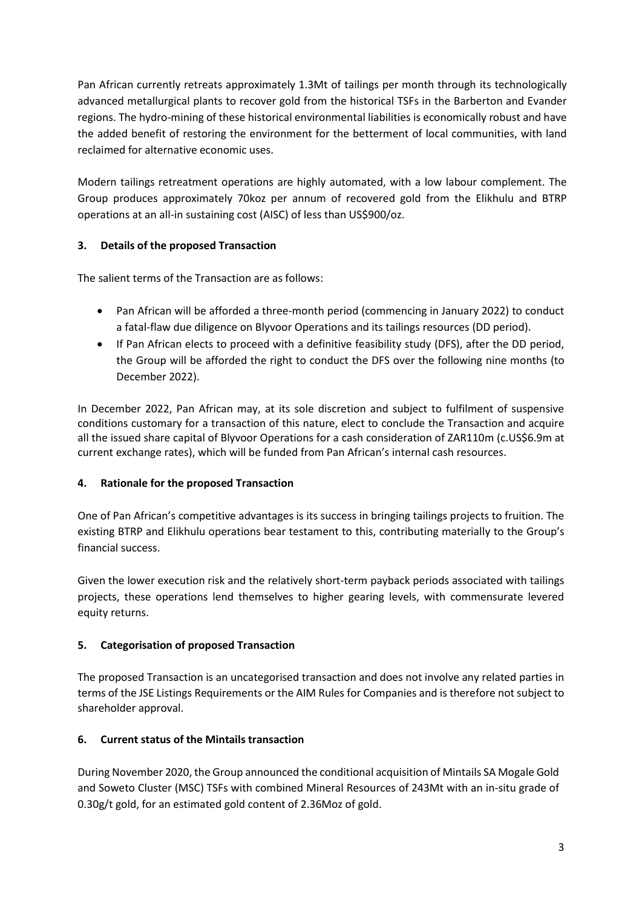Pan African currently retreats approximately 1.3Mt of tailings per month through its technologically advanced metallurgical plants to recover gold from the historical TSFs in the Barberton and Evander regions. The hydro-mining of these historical environmental liabilities is economically robust and have the added benefit of restoring the environment for the betterment of local communities, with land reclaimed for alternative economic uses.

Modern tailings retreatment operations are highly automated, with a low labour complement. The Group produces approximately 70koz per annum of recovered gold from the Elikhulu and BTRP operations at an all-in sustaining cost (AISC) of less than US\$900/oz.

# **3. Details of the proposed Transaction**

The salient terms of the Transaction are as follows:

- Pan African will be afforded a three-month period (commencing in January 2022) to conduct a fatal-flaw due diligence on Blyvoor Operations and its tailings resources (DD period).
- If Pan African elects to proceed with a definitive feasibility study (DFS), after the DD period, the Group will be afforded the right to conduct the DFS over the following nine months (to December 2022).

In December 2022, Pan African may, at its sole discretion and subject to fulfilment of suspensive conditions customary for a transaction of this nature, elect to conclude the Transaction and acquire all the issued share capital of Blyvoor Operations for a cash consideration of ZAR110m (c.US\$6.9m at current exchange rates), which will be funded from Pan African's internal cash resources.

#### **4. Rationale for the proposed Transaction**

One of Pan African's competitive advantages is its success in bringing tailings projects to fruition. The existing BTRP and Elikhulu operations bear testament to this, contributing materially to the Group's financial success.

Given the lower execution risk and the relatively short-term payback periods associated with tailings projects, these operations lend themselves to higher gearing levels, with commensurate levered equity returns.

# **5. Categorisation of proposed Transaction**

The proposed Transaction is an uncategorised transaction and does not involve any related parties in terms of the JSE Listings Requirements or the AIM Rules for Companies and is therefore not subject to shareholder approval.

# **6. Current status of the Mintails transaction**

During November 2020, the Group announced the conditional acquisition of Mintails SA Mogale Gold and Soweto Cluster (MSC) TSFs with combined Mineral Resources of 243Mt with an in-situ grade of 0.30g/t gold, for an estimated gold content of 2.36Moz of gold.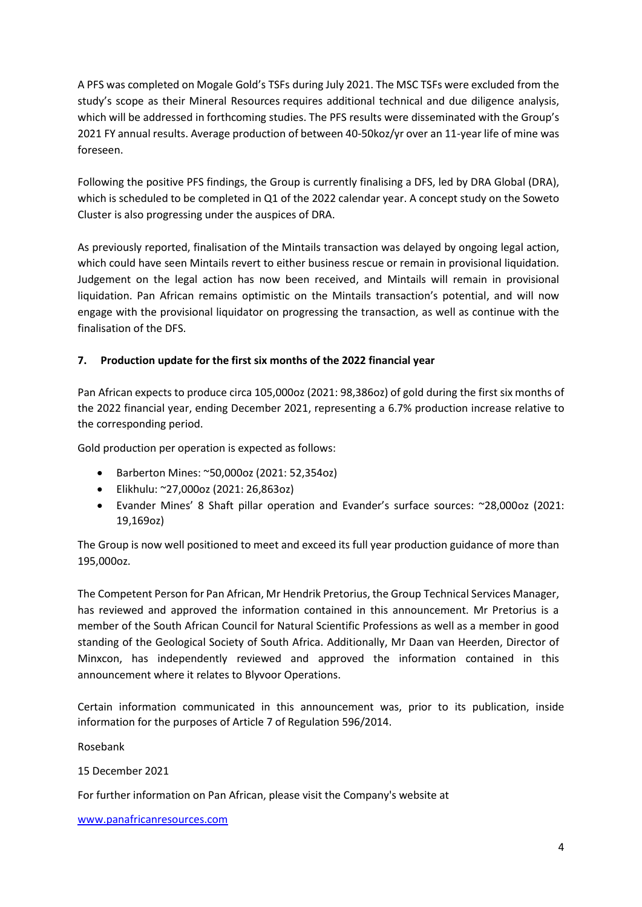A PFS was completed on Mogale Gold's TSFs during July 2021. The MSC TSFs were excluded from the study's scope as their Mineral Resources requires additional technical and due diligence analysis, which will be addressed in forthcoming studies. The PFS results were disseminated with the Group's 2021 FY annual results. Average production of between 40-50koz/yr over an 11-year life of mine was foreseen.

Following the positive PFS findings, the Group is currently finalising a DFS, led by DRA Global (DRA), which is scheduled to be completed in Q1 of the 2022 calendar year. A concept study on the Soweto Cluster is also progressing under the auspices of DRA.

As previously reported, finalisation of the Mintails transaction was delayed by ongoing legal action, which could have seen Mintails revert to either business rescue or remain in provisional liquidation. Judgement on the legal action has now been received, and Mintails will remain in provisional liquidation. Pan African remains optimistic on the Mintails transaction's potential, and will now engage with the provisional liquidator on progressing the transaction, as well as continue with the finalisation of the DFS.

### **7. Production update for the first six months of the 2022 financial year**

Pan African expects to produce circa 105,000oz (2021: 98,386oz) of gold during the first six months of the 2022 financial year, ending December 2021, representing a 6.7% production increase relative to the corresponding period.

Gold production per operation is expected as follows:

- Barberton Mines: ~50,000oz (2021: 52,354oz)
- Elikhulu: ~27,000oz (2021: 26,863oz)
- Evander Mines' 8 Shaft pillar operation and Evander's surface sources: ~28,000oz (2021: 19,169oz)

The Group is now well positioned to meet and exceed its full year production guidance of more than 195,000oz.

The Competent Person for Pan African, Mr Hendrik Pretorius, the Group Technical Services Manager, has reviewed and approved the information contained in this announcement. Mr Pretorius is a member of the South African Council for Natural Scientific Professions as well as a member in good standing of the Geological Society of South Africa. Additionally, Mr Daan van Heerden, Director of Minxcon, has independently reviewed and approved the information contained in this announcement where it relates to Blyvoor Operations.

Certain information communicated in this announcement was, prior to its publication, inside information for the purposes of Article 7 of Regulation 596/2014.

Rosebank

15 December 2021

For further information on Pan African, please visit the Company's website at

[www.panafricanresources.com](http://www.panafricanresources.com/)